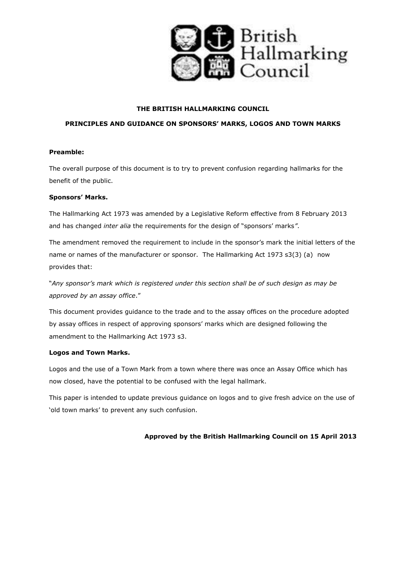

# **THE BRITISH HALLMARKING COUNCIL**

# **PRINCIPLES AND GUIDANCE ON SPONSORS' MARKS, LOGOS AND TOWN MARKS**

# **Preamble:**

The overall purpose of this document is to try to prevent confusion regarding hallmarks for the benefit of the public.

# **Sponsors' Marks.**

The Hallmarking Act 1973 was amended by a Legislative Reform effective from 8 February 2013 and has changed *inter alia* the requirements for the design of "sponsors' marks*"*.

The amendment removed the requirement to include in the sponsor's mark the initial letters of the name or names of the manufacturer or sponsor. The Hallmarking Act 1973 s3(3) (a) now provides that:

"*Any sponsor's mark which is registered under this section shall be of such design as may be approved by an assay office*."

This document provides guidance to the trade and to the assay offices on the procedure adopted by assay offices in respect of approving sponsors' marks which are designed following the amendment to the Hallmarking Act 1973 s3.

#### **Logos and Town Marks.**

Logos and the use of a Town Mark from a town where there was once an Assay Office which has now closed, have the potential to be confused with the legal hallmark.

This paper is intended to update previous guidance on logos and to give fresh advice on the use of 'old town marks' to prevent any such confusion.

# **Approved by the British Hallmarking Council on 15 April 2013**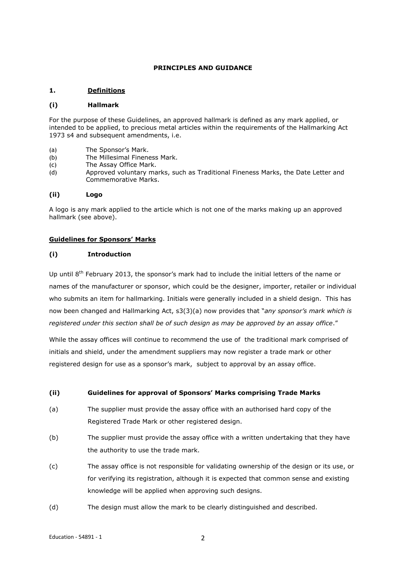# **PRINCIPLES AND GUIDANCE**

# **1. Definitions**

#### **(i) Hallmark**

For the purpose of these Guidelines, an approved hallmark is defined as any mark applied, or intended to be applied, to precious metal articles within the requirements of the Hallmarking Act 1973 s4 and subsequent amendments, i.e.

- (a) The Sponsor's Mark.
- (b) The Millesimal Fineness Mark.
- (c) The Assay Office Mark.
- (d) Approved voluntary marks, such as Traditional Fineness Marks, the Date Letter and Commemorative Marks.

#### **(ii) Logo**

A logo is any mark applied to the article which is not one of the marks making up an approved hallmark (see above).

### **Guidelines for Sponsors' Marks**

#### **(i) Introduction**

Up until 8<sup>th</sup> February 2013, the sponsor's mark had to include the initial letters of the name or names of the manufacturer or sponsor, which could be the designer, importer, retailer or individual who submits an item for hallmarking. Initials were generally included in a shield design. This has now been changed and Hallmarking Act, s3(3)(a) now provides that "*any sponsor's mark which is registered under this section shall be of such design as may be approved by an assay office*."

While the assay offices will continue to recommend the use of the traditional mark comprised of initials and shield, under the amendment suppliers may now register a trade mark or other registered design for use as a sponsor's mark, subject to approval by an assay office.

#### **(ii) Guidelines for approval of Sponsors' Marks comprising Trade Marks**

- (a) The supplier must provide the assay office with an authorised hard copy of the Registered Trade Mark or other registered design.
- (b) The supplier must provide the assay office with a written undertaking that they have the authority to use the trade mark.
- (c) The assay office is not responsible for validating ownership of the design or its use, or for verifying its registration, although it is expected that common sense and existing knowledge will be applied when approving such designs.
- (d) The design must allow the mark to be clearly distinguished and described.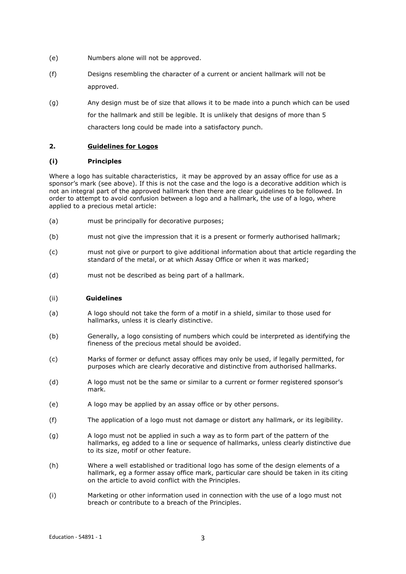- (e) Numbers alone will not be approved.
- (f) Designs resembling the character of a current or ancient hallmark will not be approved.
- (g) Any design must be of size that allows it to be made into a punch which can be used for the hallmark and still be legible. It is unlikely that designs of more than 5 characters long could be made into a satisfactory punch.

# **2. Guidelines for Logos**

#### **(i) Principles**

Where a logo has suitable characteristics, it may be approved by an assay office for use as a sponsor's mark (see above). If this is not the case and the logo is a decorative addition which is not an integral part of the approved hallmark then there are clear guidelines to be followed. In order to attempt to avoid confusion between a logo and a hallmark, the use of a logo, where applied to a precious metal article:

- (a) must be principally for decorative purposes;
- (b) must not give the impression that it is a present or formerly authorised hallmark;
- (c) must not give or purport to give additional information about that article regarding the standard of the metal, or at which Assay Office or when it was marked;
- (d) must not be described as being part of a hallmark.

#### (ii) **Guidelines**

- (a) A logo should not take the form of a motif in a shield, similar to those used for hallmarks, unless it is clearly distinctive.
- (b) Generally, a logo consisting of numbers which could be interpreted as identifying the fineness of the precious metal should be avoided.
- (c) Marks of former or defunct assay offices may only be used, if legally permitted, for purposes which are clearly decorative and distinctive from authorised hallmarks.
- (d) A logo must not be the same or similar to a current or former registered sponsor's mark.
- (e) A logo may be applied by an assay office or by other persons.
- (f) The application of a logo must not damage or distort any hallmark, or its legibility.
- (g) A logo must not be applied in such a way as to form part of the pattern of the hallmarks, eg added to a line or sequence of hallmarks, unless clearly distinctive due to its size, motif or other feature.
- (h) Where a well established or traditional logo has some of the design elements of a hallmark, eg a former assay office mark, particular care should be taken in its citing on the article to avoid conflict with the Principles.
- (i) Marketing or other information used in connection with the use of a logo must not breach or contribute to a breach of the Principles.